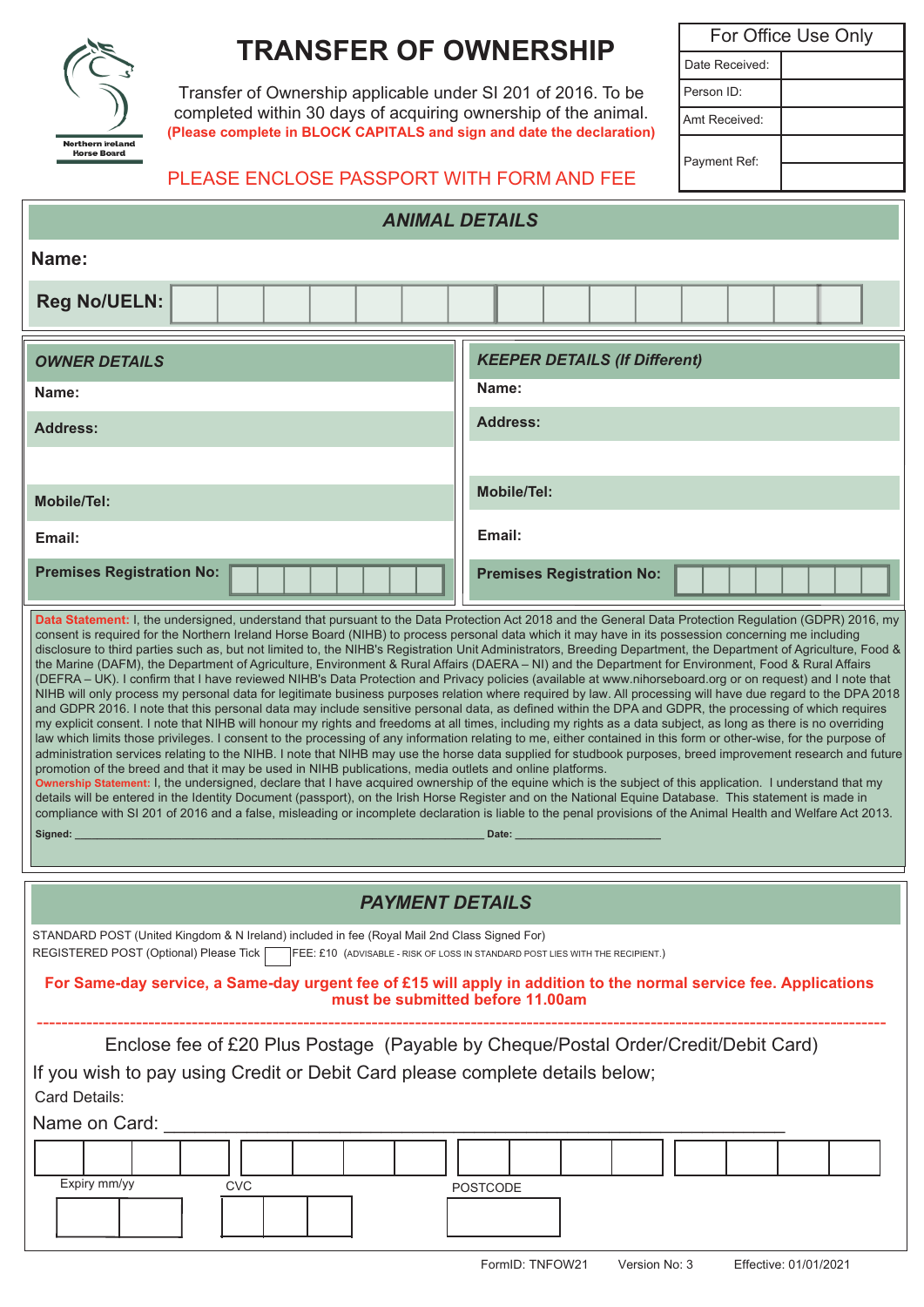

# **TRANSFER OF OWNERSHIP**

Transfer of Ownership applicable under SI 201 of 2016. To be completed within 30 days of acquiring ownership of the animal. **(Please complete in BLOCK CAPITALS and sign and date the declaration)**

For Office Use Only Date Received: Person ID: Amt Received: Payment Ref:

## PLEASE ENCLOSE PASSPORT WITH FORM AND FEE

| <b>ANIMAL DETAILS</b>                                                                                                                                                                                                                                                                                                                                                                                                                                                                                                                                                                                                                                                                                                                                                                                                                                                                                                                                                                                                                                                                                                                                                                                                                                                                                                                                                                                                                                                                                                                                                                                                                                                                                                                                                                                                                                                                                                                               |                                      |
|-----------------------------------------------------------------------------------------------------------------------------------------------------------------------------------------------------------------------------------------------------------------------------------------------------------------------------------------------------------------------------------------------------------------------------------------------------------------------------------------------------------------------------------------------------------------------------------------------------------------------------------------------------------------------------------------------------------------------------------------------------------------------------------------------------------------------------------------------------------------------------------------------------------------------------------------------------------------------------------------------------------------------------------------------------------------------------------------------------------------------------------------------------------------------------------------------------------------------------------------------------------------------------------------------------------------------------------------------------------------------------------------------------------------------------------------------------------------------------------------------------------------------------------------------------------------------------------------------------------------------------------------------------------------------------------------------------------------------------------------------------------------------------------------------------------------------------------------------------------------------------------------------------------------------------------------------------|--------------------------------------|
| Name:                                                                                                                                                                                                                                                                                                                                                                                                                                                                                                                                                                                                                                                                                                                                                                                                                                                                                                                                                                                                                                                                                                                                                                                                                                                                                                                                                                                                                                                                                                                                                                                                                                                                                                                                                                                                                                                                                                                                               |                                      |
| <b>Reg No/UELN:</b>                                                                                                                                                                                                                                                                                                                                                                                                                                                                                                                                                                                                                                                                                                                                                                                                                                                                                                                                                                                                                                                                                                                                                                                                                                                                                                                                                                                                                                                                                                                                                                                                                                                                                                                                                                                                                                                                                                                                 |                                      |
| <b>OWNER DETAILS</b>                                                                                                                                                                                                                                                                                                                                                                                                                                                                                                                                                                                                                                                                                                                                                                                                                                                                                                                                                                                                                                                                                                                                                                                                                                                                                                                                                                                                                                                                                                                                                                                                                                                                                                                                                                                                                                                                                                                                | <b>KEEPER DETAILS (If Different)</b> |
| Name:                                                                                                                                                                                                                                                                                                                                                                                                                                                                                                                                                                                                                                                                                                                                                                                                                                                                                                                                                                                                                                                                                                                                                                                                                                                                                                                                                                                                                                                                                                                                                                                                                                                                                                                                                                                                                                                                                                                                               | Name:                                |
| <b>Address:</b>                                                                                                                                                                                                                                                                                                                                                                                                                                                                                                                                                                                                                                                                                                                                                                                                                                                                                                                                                                                                                                                                                                                                                                                                                                                                                                                                                                                                                                                                                                                                                                                                                                                                                                                                                                                                                                                                                                                                     | <b>Address:</b>                      |
|                                                                                                                                                                                                                                                                                                                                                                                                                                                                                                                                                                                                                                                                                                                                                                                                                                                                                                                                                                                                                                                                                                                                                                                                                                                                                                                                                                                                                                                                                                                                                                                                                                                                                                                                                                                                                                                                                                                                                     |                                      |
| <b>Mobile/Tel:</b>                                                                                                                                                                                                                                                                                                                                                                                                                                                                                                                                                                                                                                                                                                                                                                                                                                                                                                                                                                                                                                                                                                                                                                                                                                                                                                                                                                                                                                                                                                                                                                                                                                                                                                                                                                                                                                                                                                                                  | <b>Mobile/Tel:</b>                   |
| Email:                                                                                                                                                                                                                                                                                                                                                                                                                                                                                                                                                                                                                                                                                                                                                                                                                                                                                                                                                                                                                                                                                                                                                                                                                                                                                                                                                                                                                                                                                                                                                                                                                                                                                                                                                                                                                                                                                                                                              | Email:                               |
| <b>Premises Registration No:</b>                                                                                                                                                                                                                                                                                                                                                                                                                                                                                                                                                                                                                                                                                                                                                                                                                                                                                                                                                                                                                                                                                                                                                                                                                                                                                                                                                                                                                                                                                                                                                                                                                                                                                                                                                                                                                                                                                                                    | <b>Premises Registration No:</b>     |
| disclosure to third parties such as, but not limited to, the NIHB's Registration Unit Administrators, Breeding Department, the Department of Agriculture, Food &<br>the Marine (DAFM), the Department of Agriculture, Environment & Rural Affairs (DAERA - NI) and the Department for Environment, Food & Rural Affairs<br>(DEFRA - UK). I confirm that I have reviewed NIHB's Data Protection and Privacy policies (available at www.nihorseboard.org or on request) and I note that<br>NIHB will only process my personal data for legitimate business purposes relation where required by law. All processing will have due regard to the DPA 2018<br>and GDPR 2016. I note that this personal data may include sensitive personal data, as defined within the DPA and GDPR, the processing of which requires<br>my explicit consent. I note that NIHB will honour my rights and freedoms at all times, including my rights as a data subject, as long as there is no overriding<br>law which limits those privileges. I consent to the processing of any information relating to me, either contained in this form or other-wise, for the purpose of<br>administration services relating to the NIHB. I note that NIHB may use the horse data supplied for studbook purposes, breed improvement research and future<br>promotion of the breed and that it may be used in NIHB publications, media outlets and online platforms.<br>Ownership Statement: I, the undersigned, declare that I have acquired ownership of the equine which is the subject of this application. I understand that my<br>details will be entered in the Identity Document (passport), on the Irish Horse Register and on the National Equine Database. This statement is made in<br>compliance with SI 201 of 2016 and a false, misleading or incomplete declaration is liable to the penal provisions of the Animal Health and Welfare Act 2013.<br>Signed:<br>Date: |                                      |
| <b>PAYMENT DETAILS</b>                                                                                                                                                                                                                                                                                                                                                                                                                                                                                                                                                                                                                                                                                                                                                                                                                                                                                                                                                                                                                                                                                                                                                                                                                                                                                                                                                                                                                                                                                                                                                                                                                                                                                                                                                                                                                                                                                                                              |                                      |
| STANDARD POST (United Kingdom & N Ireland) included in fee (Royal Mail 2nd Class Signed For)<br>REGISTERED POST (Optional) Please Tick<br>FEE: £10 (ADVISABLE - RISK OF LOSS IN STANDARD POST LIES WITH THE RECIPIENT.)                                                                                                                                                                                                                                                                                                                                                                                                                                                                                                                                                                                                                                                                                                                                                                                                                                                                                                                                                                                                                                                                                                                                                                                                                                                                                                                                                                                                                                                                                                                                                                                                                                                                                                                             |                                      |
| For Same-day service, a Same-day urgent fee of £15 will apply in addition to the normal service fee. Applications<br>must be submitted before 11.00am                                                                                                                                                                                                                                                                                                                                                                                                                                                                                                                                                                                                                                                                                                                                                                                                                                                                                                                                                                                                                                                                                                                                                                                                                                                                                                                                                                                                                                                                                                                                                                                                                                                                                                                                                                                               |                                      |
| Enclose fee of £20 Plus Postage (Payable by Cheque/Postal Order/Credit/Debit Card)<br>If you wish to pay using Credit or Debit Card please complete details below;<br>Card Details:<br>Name on Card:<br>Expiry mm/yy<br><b>CVC</b><br><b>POSTCODE</b>                                                                                                                                                                                                                                                                                                                                                                                                                                                                                                                                                                                                                                                                                                                                                                                                                                                                                                                                                                                                                                                                                                                                                                                                                                                                                                                                                                                                                                                                                                                                                                                                                                                                                               |                                      |